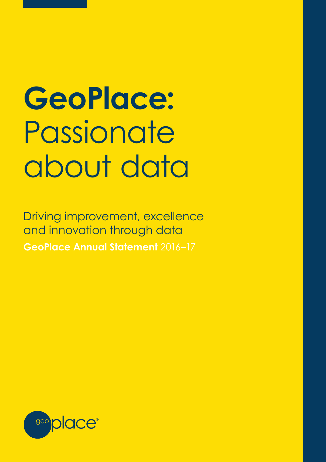# **GeoPlace:**  Passionate about data

Driving improvement, excellence and innovation through data **GeoPlace Annual Statement** 2016–17

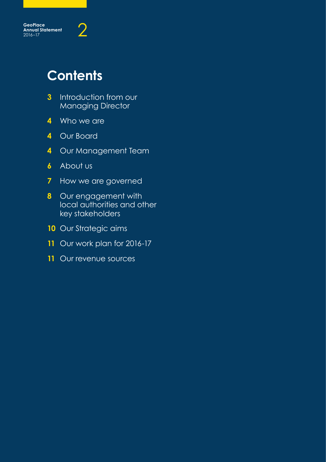

# **Contents**

- Introduction from our Managing Director
- Who we are
- Our Board
- Our Management Team
- About us
- How we are governed
- Our engagement with local authorities and other key stakeholders
- Our Strategic aims
- Our work plan for 2016-17
- Our revenue sources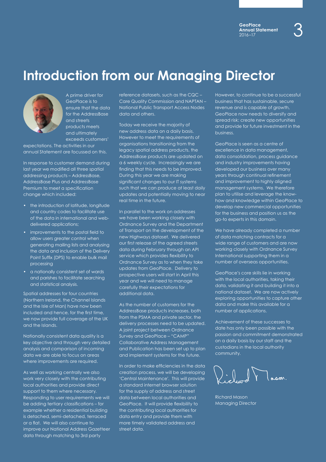### **Introduction from our Managing Director**



A prime driver for GeoPlace is to ensure that the data for the AddressBase and streets products meets and ultimately exceeds customers'

expectations. The activities in our annual Statement are focussed on this.

In response to customer demand during last year we modified all three spatial addressing products – AddressBase, AddressBase Plus and AddressBase Premium to meet a specification change which included:

- the introduction of latitude, longitude and country codes to facilitate use of the data in international and webdelivered applications;
- improvements to the postal field to allow users greater control when generating mailing lists and analysing the data and inclusion of the Delivery Point Suffix (DPS) to enable bulk mail processing
- a nationally consistent set of wards and parishes to facilitate searching and statistical analysis.

Spatial addresses for four countries (Northern Ireland, the Channel Islands and the Isle of Man) have now been included and hence, for the first time, we now provide full coverage of the UK and the Islands.

Nationally consistent data quality is a key objective and through very detailed analysis and comparison of incoming data we are able to focus on areas where improvements are required.

As well as working centrally we also work very closely with the contributing local authorities and provide direct support to them where necessary. Responding to user requirements we will be adding tertiary classifications – for example whether a residential building is detached, semi-detached, terraced or a flat. We will also continue to improve our National Address Gazetteer data through matching to 3rd party

reference datasets, such as the CQC – Care Quality Commission and NAPTAN – National Public Transport Access Nodes data and others.

Today we receive the majority of new address data on a daily basis. However to meet the requirements of organisations transitioning from the legacy spatial address products, the AddressBase products are updated on a 6 weekly cycle. Increasingly we are finding that this needs to be improved. During this year we are making significant changes to our IT systems such that we can produce at least daily updates and potentially moving to near real time in the future.

In parallel to the work on addresses we have been working closely with Ordnance Survey and the Department of Transport on the development of the new Highways dataset. We delivered our first release of the agreed streets data during February through an API service which provides flexibility to Ordnance Survey as to when they take updates from GeoPlace. Delivery to prospective users will start in April this year and we will need to manage carefully their expectations for additional data.

As the number of customers for the AddressBase products increases, both from the PSMA and private sector, the delivery processes need to be updated. A joint project between Ordnance Survey and GeoPlace – "CAMP" Collaborative Address Management and Publication has been set up to plan and implement systems for the future.

In order to make efficiencies in the data creation process, we will be developing 'Central Maintenance'. This will provide a standard internet browser solution for the supply of address and street data between local authorities and GeoPlace. It will provide flexibility to the contributing local authorities for data entry and provide them with more timely validated address and street data.

However, to continue to be a successful business that has sustainable, secure revenue and is capable of growth, GeoPlace now needs to diversify and spread risk; create new opportunities and provide for future investment in the business.

GeoPlace is seen as a centre of excellence in data management, data consolidation, process guidance and industry improvements having developed our business over many years through continual refinement and improvement to highly aligned management systems. We therefore plan to utilise and leverage the knowhow and knowledge within GeoPlace to develop new commercial opportunities for the business and position us as the go-to experts in this domain.

We have already completed a number of data matching contracts for a wide range of customers and are now working closely with Ordnance Survey International supporting them in a number of overseas opportunities.

GeoPlace's core skills lie in working with the local authorities, taking their data, validating it and building it into a national dataset. We are now actively exploring opportunities to capture other data and make this available for a number of applications.

Achievement of these successes to date has only been possible with the passion and commitment demonstrated on a daily basis by our staff and the custodians in the local authority community.

 $\int_{\mathbb{R}^d}$ 

Richard Mason Managing Director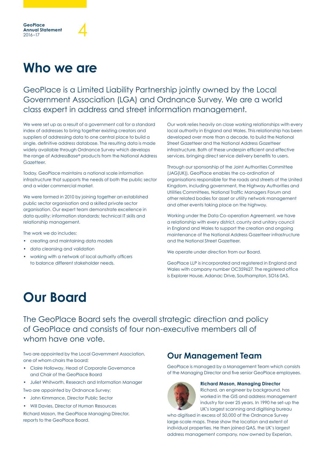# **Who we are**

GeoPlace<br>Annual Statement<br><sub>2016–17</sub>

**GeoPlace Annual Statement**

GeoPlace is a Limited Liability Partnership jointly owned by the Local Government Association (LGA) and Ordnance Survey. We are a world class expert in address and street information management.

We were set up as a result of a government call for a standard index of addresses to bring together existing creators and suppliers of addressing data to one central place to build a single, definitive address database. The resulting data is made widely available through Ordnance Survey which develops the range of AddressBase® products from the National Address Gazetteer

Today, GeoPlace maintains a national scale information infrastructure that supports the needs of both the public sector and a wider commercial market.

We were formed in 2010 by joining together an established public sector organisation and a skilled private sector organisation. Our expert team demonstrate excellence in data quality; information standards; technical IT skills and relationship management.

The work we do includes:

- creating and maintaining data models
- data cleansing and validation
- working with a network of local authority officers to balance different stakeholder needs.

Our work relies heavily on close working relationships with every local authority in England and Wales. This relationship has been developed over more than a decade, to build the National Street Gazetteer and the National Address Gazetteer infrastructure. Both of these underpin efficient and effective services, bringing direct service delivery benefits to users.

Through our sponsorship of the Joint Authorities Committee (JAG(UK)), GeoPlace enables the co-ordination of organisations responsible for the roads and streets of the United Kingdom, including government, the Highway Authorities and Utilities Committees, National Traffic Managers Forum and other related bodies for asset or utility network management and other events taking place on the highway.

Working under the Data Co-operation Agreement, we have a relationship with every district, county and unitary council in England and Wales to support the creation and ongoing maintenance of the National Address Gazetteer infrastructure and the National Street Gazetteer.

We operate under direction from our Board.

GeoPlace LLP is incorporated and registered in England and Wales with company number OC359627. The registered office is Explorer House, Adanac Drive, Southampton, SO16 0AS.

### **Our Board**

The GeoPlace Board sets the overall strategic direction and policy of GeoPlace and consists of four non-executive members all of whom have one vote.

Two are appointed by the Local Government Association, one of whom chairs the board;

- Claire Holloway, Head of Corporate Governance and Chair of the GeoPlace Board
- Juliet Whitworth, Research and Information Manager

Two are appointed by Ordnance Survey;

- John Kimmance, Director Public Sector
- Will Davies, Director of Human Resources

Richard Mason, the GeoPlace Managing Director, reports to the GeoPlace Board.

### **Our Management Team**

GeoPlace is managed by a Management Team which consists of the Managing Director and five senior GeoPlace employees.



#### **Richard Mason, Managing Director**

Richard, an engineer by background, has worked in the GIS and address management industry for over 25 years. In 1990 he set-up the UK's largest scanning and digitising bureau

who digitised in excess of 50,000 of the Ordnance Survey large-scale maps. These show the location and extent of individual properties. He then joined QAS, the UK's largest address management company, now owned by Experian,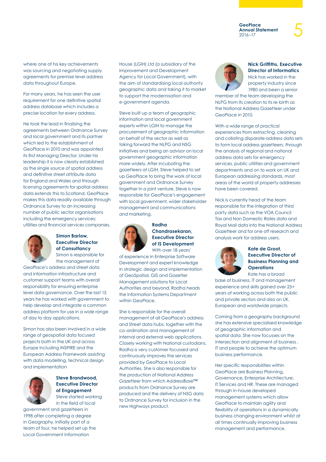where one of his key achievements was sourcing and negotiating supply agreements for premise level address data throughout Europe.

For many years, he has seen the user requirement for one definitive spatial address database which includes a precise location for every address.

He took the lead in finalising the agreements between Ordnance Survey and local government and its partner which led to the establishment of GeoPlace in 2010 and was appointed its first Managing Director. Under his leadership it is now clearly established as the single source of spatial address and definitive street attribute data for England and Wales and through licensing agreements for spatial address data extends this to Scotland, GeoPlace makes this data readily available through Ordnance Survey to an increasing number of public sector organisations including the emergency services; utilities and financial services companies.



#### **Simon Barlow, Executive Director of Consultancy** Simon is responsible for

the management of GeoPlace's address and street data and information infrastructure and customer support teams with overall responsibility for ensuring enterprise level data governance. Over the last 15 years he has worked with government to help develop and integrate a common address platform for use in a wide range of day to day applications.

Simon has also been involved in a wide range of geospatial data focused projects both in the UK and across Europe including INSPIRE and the European Address Framework assisting with data modelling, technical design and implementation



#### **Steve Brandwood, Executive Director of Engagement** Steve started working in the field of local

government and gazetteers in 1998 after completing a degree in Geography. Initially part of a team of four, he helped set up the Local Government Information

House (LGIH) Ltd (a subsidiary of the Improvement and Development Agency for Local Government), with the aim of standardising local authority geographic data and taking it to market to support the modernisation and e-government agenda.

Steve built up a team of geographic information and local government experts within LGIH to manage the procurement of geographic information on behalf of the sector as well as taking forward the NLPG and NSG initiatives and being an advisor on local government geographic information more widely. After incubating the gazetteers at LGIH, Steve helped to set up GeoPlace to bring the work of local government and Ordnance Survey together in a joint venture. Steve is now responsible for GeoPlace's engagement with local government, wider stakeholder management and communications and marketing.



#### **Radha Chandrasekaran, Executive Director of IS Development** With over 18 years'

of experience in Enterprise Software Development and expert knowledge in strategic design and implementation of GeoSpatial, GIS and Gazetter Management solutions for Local Authorities and beyond, Radha heads the Information Systems Department within GeoPlace.

She is responsible for the overall management of all GeoPlace's address and Street data hubs, together with the co-ordination and management of internal and external web applications. Closely working with National custodians, Radha is very customer focussed and continuously improves the services provided by GeoPlace to Local Authorities. She is also responsible for the production of National Address Gazetteer from which AddressBase™ products from Ordnance Survey are produced and the delivery of NSG data to Ordnance Survey for inclusion in the new Highways product.



#### **Nick Griffiths, Executive Director of Informatics** Nick has worked in the

property industry since 1980 and been a senior

member of the team developing the NLPG from its creation to its re-birth as the National Address Gazetteer under GeoPlace in 2010.

With a wide range of practical experiences from extracting, cleaning and collating disparate address data sets to form local address gazetteers, through the analysis of regional and national address data sets for emergency services, public utilities and government departments and on to work on UK and European addressing standards, most areas of the world of property addresses have been covered.

Nick is currently head of the team responsible for the integration of third party data such as the VOA Council Tax and Non Domestic Rates data and Royal Mail data into the National Address Gazetteer and for one off research and analysis work for address users.



#### **Kate de Groot, Executive Director of Business Planning and Operations**  Kate has a broad

base of business, IT and management experience and skills gained over 25+ years of working across both the public and private sectors and also on UK, European and worldwide projects.

Coming from a geography background she has extensive specialised knowledge of geographic information and spatial data. She now focusses on the intersection and alignment of business , IT and people to achieve the optimum business performance.

Her specific responsibilities within GeoPlace are Business Planning, Governance, Enterprise Architecture, IT Services and HR. These are managed through in-house developed management systems which allow GeoPlace to maintain agility and flexibility of operations in a dynamically business changing environment whilst at all times continually improving business management and performance.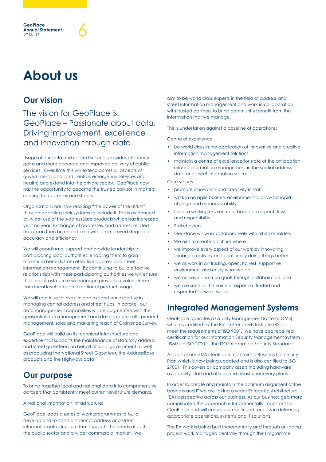# **About us**

### **Our vision**

The vision for GeoPlace is: GeoPlace – Passionate about data. Driving improvement, excellence and innovation through data.

Usage of our data and related services provides efficiency gains and more accurate and improved delivery of public services. Over time this will extend across all aspects of government (local and central, emergency services and health) and extend into the private sector. GeoPlace now has the opportunity to become the trusted advisor in matters relating to addresses and streets.

Organisations are now realising "the power of the UPRN" through adapting their systems to include it. This is evidenced by wider use of the AddressBase products which has increased year on year. Exchange of addresses, and address related data, can then be undertaken with an improved degree of accuracy and efficiency.

We will coordinate, support and provide leadership to participating local authorities, enabling them to gain maximum benefits from effective address and street information management. By continuing to build effective relationships with these participating authorities we will ensure that the infrastructure we manage provides a value stream from local level through to national product usage.

We will continue to invest in and expand our expertise in managing central address and street hubs. In parallel, our data management capabilities will be augmented with the geospatial data management and data capture skills, product management, sales and marketing reach of Ordnance Survey.

GeoPlace will build on its technical infrastructure and expertise that supports the maintenance of statutory address and street gazetteers on behalf of local government as well as producing the National Street Gazetteer, the AddressBase products and the Highways data.

### **Our purpose**

To bring together local and national data into comprehensive datasets that consistently meet current and future demand.

A National Information Infrastructure:

GeoPlace leads a series of work programmes to build, develop and expand a national address and street information infrastructure that supports the needs of both the public sector and a wider commercial market. We

aim to be world class experts in the field of address and street information management and work in collaboration with trusted partners to bring community benefit from the information that we manage.

This is undertaken against a baseline of operations:

Centre of excellence

- be world class in the application of innovative and creative information management solutions
- maintain a centre of excellence for state of the art location related information management in the spatial address data and street information sector

Core values

- promote innovation and creativity in staff
- work in an agile business environment to allow for rapid change and manoeuvrability
- foster a working environment based on respect, trust and responsibility
- **Stakeholders**
- GeoPlace will work collaboratively with all stakeholders
- We aim to create a culture where
- we improve every aspect of our work by innovating, thinking creatively and continually doing things better
- we all work in an trusting, open, honest, supportive environment and enjoy what we do,
- we achieve common goals through collaboration, and
- we are seen as the voice of expertise, trusted and respected for what we do.

### **Integrated Management Systems**

GeoPlace operates a Quality Management System (QMS) which is certified by the British Standards Institute (BSi) to meet the requirements of ISO 9001. We have also received certification for our Information Security Management System (ISMS) to ISO 27001 – the ISO Information Security Standard.

As part of our ISMS GeoPlace maintains a Business Continuity Plan which is now being updated and is also certified to ISO 27001. This covers all company assets including hardware availability, staff and offices and disaster recovery plans.

In order to create and maintain the optimum alignment of the business and IT we are taking a wider Enterprise Architecture (EA) perspective across our business. As our business gets more complicated this approach is fundamentally important for GeoPlace and will ensure our continued success in delivering appropriate operations, systems and IT solutions.

The EA work is being built incrementally and through on-going project work managed centrally through the Programme

**GeoPlace Annual Statement** GeoPlace<br>Annual Statement<br>2016–17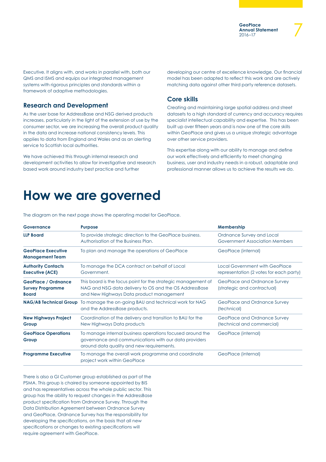Executive. It aligns with, and works in parallel with, both our QMS and ISMS and equips our integrated management systems with rigorous principles and standards within a framework of adaptive methodologies.

#### **Research and Development**

As the user base for AddressBase and NSG derived products increases, particularly in the light of the extension of use by the consumer sector, we are increasing the overall product quality in the data and increase national consistency levels. This applies to data from England and Wales and as an alerting service to Scottish local authorities.

We have achieved this through internal research and development activities to allow for investigative and research based work around industry best practice and further

developing our centre of excellence knowledge. Our financial model has been adapted to reflect this work and are actively matching data against other third party reference datasets.

#### **Core skills**

Creating and maintaining large spatial address and street datasets to a high standard of currency and accuracy requires specialist intellectual capability and expertise. This has been built up over fifteen years and is now one of the core skills within GeoPlace and gives us a unique strategic advantage over other service providers.

This expertise along with our ability to manage and define our work effectively and efficiently to meet changing business, user and industry needs in a robust, adaptable and professional manner allows us to achieve the results we do.

### **How we are governed**

**Governance Purpose Purpose Membership LLP Board** To provide strategic direction to the GeoPlace business. Authorisation of the Business Plan. Ordnance Survey and Local Government Association Members **GeoPlace Executive Management Team** To plan and manage the operations of GeoPlace GeoPlace GeoPlace (internal) **Authority Contacts Executive (ACE)** To manage the DCA contract on behalf of Local Government. Local Government with GeoPlace representation (2 votes for each party) **GeoPlace / Ordnance Survey Programme Board** This board is the focus point for the strategic management of NAG and NSG data delivery to OS and the OS AddressBase and New Highways Data product management GeoPlace and Ordnance Survey (strategic and contractual) **NAG/AB Technical Group** To manage the on-going BAU and technical work for NAG and the AddressBase products. GeoPlace and Ordnance Survey (technical) **New Highways Project Group** Coordination of the delivery and transition to BAU for the New Highways Data products GeoPlace and Ordnance Survey (technical and commercial) **GeoPlace Operations Group** To manage internal business operations focused around the governance and communications with our data providers around data quality and new requirements. GeoPlace (internal) **Programme Executive** To manage the overall work programme and coordinate project work within GeoPlace GeoPlace (internal)

The diagram on the next page shows the operating model for GeoPlace.

There is also a GI Customer group established as part of the PSMA. This group is chaired by someone appointed by BIS and has representatives across the whole public sector. This group has the ability to request changes in the AddressBase product specification from Ordnance Survey. Through the Data Distribution Agreement between Ordnance Survey and GeoPlace, Ordnance Survey has the responsibility for developing the specifications, on the basis that all new specifications or changes to existing specifications will require agreement with GeoPlace.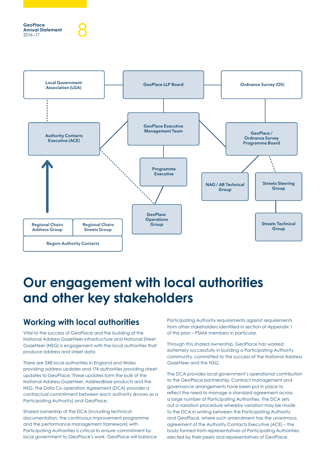

# **Our engagement with local authorities and other key stakeholders**

### **Working with local authorities**

Vital to the success of GeoPlace and the building of the National Address Gazetteer infrastructure and National Street Gazetteer (NSG) is engagement with the local authorities that produce address and street data.

There are 348 local authorities in England and Wales providing address updates and 174 authorities providing street updates to GeoPlace. These updates form the bulk of the National Address Gazetteer, AddressBase products and the NSG. The Data Co-operation Agreement (DCA) provides a contractual commitment between each authority (knows as a Participating Authority) and GeoPlace.

Shared ownership of the DCA (including technical documentation, the continuous improvement programme and the performance management framework) with Participating Authorities is critical to ensure commitment by local government to GeoPlace's work. GeoPlace will balance Participating Authority requirements against requirements from other stakeholders identified in section of Appendix 1 of this plan – PSMA members in particular.

Through this shared ownership, GeoPlace has worked extremely successfully in building a Participating Authority community, committed to the success of the National Address Gazetteer and the NSG.

The DCA provides local government's operational contribution to the GeoPlace partnership. Contract management and governance arrangements have been put in place to reflect the need to manage a standard agreement across a large number of Participating Authorities. The DCA sets out a variation procedure whereby variation may be made to the DCA in writing between the Participating Authority and GeoPlace, where such amendment has the unanimous agreement of the Authority Contacts Executive (ACE) – the body formed from representatives of Participating Authorities, elected by their peers and representatives of GeoPlace.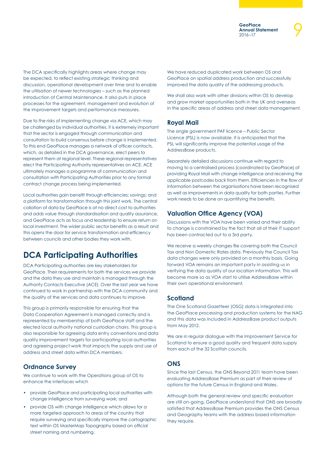The DCA specifically highlights areas where change may be expected, to reflect existing strategic thinking and discussion, operational development over time and to enable the utilisation of newer technologies – such as the planned introduction of Central Maintenance. It also puts in place processes for the agreement, management and evolution of the improvement targets and performance measures.

Due to the risks of implementing change via ACE, which may be challenged by individual authorities, it is extremely important that the sector is engaged through communication and consultation to build consensus before change is implemented. To this end GeoPlace manages a network of officer contacts, which, as detailed in the DCA governance, elect peers to represent them at regional level. These regional representatives elect the Participating Authority representatives on ACE. ACE ultimately manages a programme of communication and consultation with Participating Authorities prior to any formal contract change process being implemented.

Local authorities gain benefit through efficiencies; savings; and a platform for transformation through this joint work. The central collation of data by GeoPlace is at no direct cost to authorities and adds value through standardisation and quality assurance, and GeoPlace acts as focus and leadership to ensure return on local investment. The wider public sector benefits as a result and this opens the door for service transformation and efficiency between councils and other bodies they work with.

### **DCA Participating Authorities**

DCA Participating authorities are key stakeholders for GeoPlace. Their requirements for both the services we provide and the data they use and maintain is managed through the Authority Contacts Executive (ACE). Over the last year we have continued to work in partnership with the DCA community and the quality of the services and data continues to improve.

This group is primarily responsible for ensuring that the Data Cooperation Agreement is managed correctly and is represented by membership of both GeoPlace staff and the elected local authority national custodian chairs. This group is also responsible for agreeing data entry conventions and data quality improvement targets for participating local authorities and agreeing project work that impacts the supply and use of address and street data within DCA members.

#### **Ordnance Survey**

We continue to work with the Operations group of OS to enhance the interfaces which

- provide GeoPlace and participating local authorities with change intelligence from surveying work; and
- provide OS with change intelligence which allows for a more targeted approach to areas of the country that require surveying and specifically improve the cartographic text within OS MasterMap Topography based on official street naming and numbering.

We have reduced duplicated work between OS and GeoPlace on spatial address production and successfully improved the data quality of the addressing products.

We shall also work with other divisions within OS to develop and grow market opportunities both in the UK and overseas in the specific areas of address and street data management.

#### **Royal Mail**

The single government PAF licence – Public Sector Licence (PSL) is now available. It is anticipated that the PSL will significantly improve the potential usage of the AddressBase products.

Separately detailed discussions continue with regard to moving to a centralised process (coordinated by GeoPlace) of providing Royal Mail with change intelligence and receiving the applicable postcodes back from them. Efficiencies in the flow of information between the organisations have been recognised as well as improvements in data quality for both parties. Further work needs to be done on quantifying the benefits.

#### **Valuation Office Agency (VOA)**

Discussions with the VOA have been varied and their ability to change is constrained by the fact that all of their IT support has been contracted out to a 3rd party.

We receive a weekly changes file covering both the Council Tax and Non Domestic Rates data. Previously the Council Tax data changes were only provided on a monthly basis. Going forward VOA remains an important party in assisting us in verifying the data quality of our location information. This will become more so as VOA start to utilise AddressBase within their own operational environment.

#### **Scotland**

The One Scotland Gazetteer (OSG) data is integrated into the GeoPlace processing and production systems for the NAG and this data was included in AddressBase product outputs from May 2012.

We are in regular dialogue with the Improvement Service for Scotland to ensure a good quality and frequent data supply from each of the 32 Scottish councils.

#### **ONS**

Since the last Census, the ONS Beyond 2011 team have been evaluating AddressBase Premium as part of their review of options for the future Census in England and Wales.

Although both the general review and specific evaluation are still on-going, GeoPlace understand that ONS are broadly satisfied that AddressBase Premium provides the ONS Census and Geography teams with the address based information they require.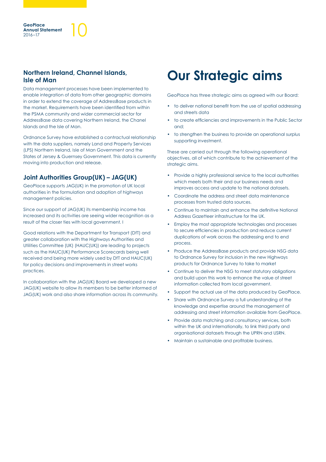#### **Northern Ireland, Channel Islands, Isle of Man**

**GeoPlace Annual Statement**

GeoPlace<br>Annual Statement<br>2016–17

Data management processes have been implemented to enable integration of data from other geographic domains in order to extend the coverage of AddressBase products in the market. Requirements have been identified from within the PSMA community and wider commercial sector for AddressBase data covering Northern Ireland, the Chanel Islands and the Isle of Man.

Ordnance Survey have established a contractual relationship with the data suppliers, namely Land and Property Services (LPS) Northern Ireland, Isle of Man Government and the States of Jersey & Guernsey Government. This data is currently moving into production and release.

#### **Joint Authorities Group(UK) – JAG(UK)**

GeoPlace supports JAG(UK) in the promotion of UK local authorities in the formulation and adoption of highways management policies.

Since our support of JAG(UK) its membership income has increased and its activities are seeing wider recognition as a result of the closer ties with local government. I

Good relations with the Department for Transport (DfT) and greater collaboration with the Highways Authorities and Utilities Committee (UK) (HAUC(UK)) are leading to projects such as the HAUC(UK) Performance Scorecards being well received and being more widely used by DfT and HAUC(UK) for policy decisions and improvements in street works practices.

In collaboration with the JAG(UK) Board we developed a new JAG(UK) website to allow its members to be better informed of JAG(UK) work and also share information across its community.

# **Our Strategic aims**

GeoPlace has three strategic aims as agreed with our Board:

- to deliver national benefit from the use of spatial addressing and streets data
- to create efficiencies and improvements in the Public Sector and;
- to strengthen the business to provide an operational surplus supporting investment.

These are carried out through the following operational objectives, all of which contribute to the achievement of the strategic aims.

- Provide a highly professional service to the local authorities which meets both their and our business needs and improves access and update to the national datasets.
- Coordinate the address and street data maintenance processes from trusted data sources.
- Continue to maintain and enhance the definitive National Address Gazetteer infrastructure for the UK.
- Employ the most appropriate technologies and processes to secure efficiencies in production and reduce current duplications of work across the addressing end to end process.
- Produce the AddressBase products and provide NSG data to Ordnance Survey for inclusion in the new Highways products for Ordnance Survey to take to market
- Continue to deliver the NSG to meet statutory obligations and build upon this work to enhance the value of street information collected from local government.
- Support the actual use of the data produced by GeoPlace.
- Share with Ordnance Survey a full understanding of the knowledge and expertise around the management of addressing and street information available from GeoPlace.
- Provide data matching and consultancy services, both within the UK and internationally, to link third party and organisational datasets through the UPRN and USRN.
- Maintain a sustainable and profitable business.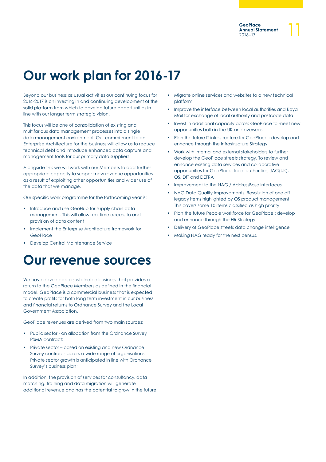# **Our work plan for 2016-17**

Beyond our business as usual activities our continuing focus for 2016-2017 is on investing in and continuing development of the solid platform from which to develop future opportunities in line with our longer term strategic vision.

This focus will be one of consolidation of existing and multifarious data management processes into a single data management environment. Our commitment to an Enterprise Architecture for the business will allow us to reduce technical debt and introduce enhanced data capture and management tools for our primary data suppliers.

Alongside this we will work with our Members to add further appropriate capacity to support new revenue opportunities as a result of exploiting other opportunities and wider use of the data that we manage.

Our specific work programme for the forthcoming year is:

- Introduce and use GeoHub for supply chain data management. This will allow real time access to and provision of data content
- Implement the Enterprise Architecture framework for **GeoPlace**
- Develop Central Maintenance Service

### **Our revenue sources**

We have developed a sustainable business that provides a return to the GeoPlace Members as defined in the financial model. GeoPlace is a commercial business that is expected to create profits for both long term investment in our business and financial returns to Ordnance Survey and the Local Government Association.

GeoPlace revenues are derived from two main sources:

- Public sector an allocation from the Ordnance Survey PSMA contract;
- Private sector based on existing and new Ordnance Survey contracts across a wide range of organisations. Private sector growth is anticipated in line with Ordnance Survey's business plan;

In addition, the provision of services for consultancy, data matching, training and data migration will generate additional revenue and has the potential to grow in the future.

- Migrate online services and websites to a new technical platform
- Improve the interface between local authorities and Royal Mail for exchange of local authority and postcode data
- Invest in additional capacity across GeoPlace to meet new opportunities both in the UK and overseas
- Plan the future IT infrastructure for GeoPlace : develop and enhance through the Infrastructure Strategy
- Work with internal and external stakeholders to further develop the GeoPlace streets strategy. To review and enhance existing data services and collaborative opportunities for GeoPlace, local authorities, JAG(UK), OS, DfT and DEFRA
- Improvement to the NAG / AddressBase interfaces
- NAG Data Quality Improvements. Resolution of one off legacy items highlighted by OS product management. This covers some 10 items classified as high priority
- Plan the future People workforce for GeoPlace : develop and enhance through the HR Strategy
- Delivery of GeoPlace streets data change intelligence
- Making NAG ready for the next census.